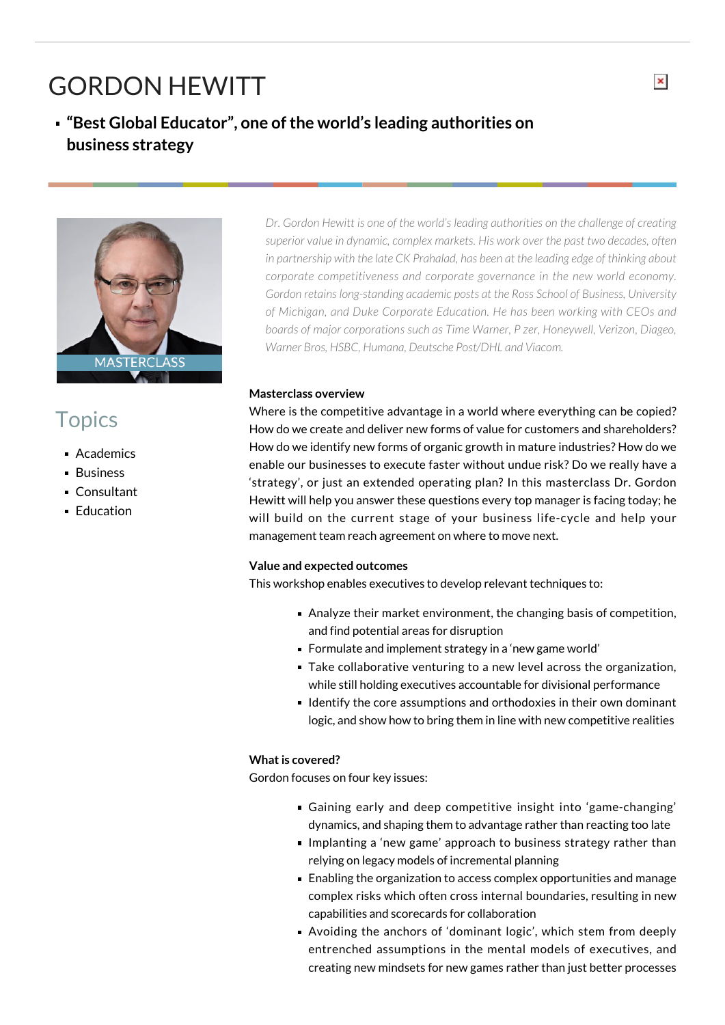# GORDON HEWITT

### **"Best Global Educator", one of the world's leading authorities on business strategy**



## **Topics**

- **Academics**
- **Business**
- Consultant
- **Education**

*Dr. Gordon Hewitt is one of the world's leading authorities on the challenge of creating superior value in dynamic, complex markets. His work over the past two decades, often in partnership with the late CK Prahalad, has been at the leading edge of thinking about corporate competitiveness and corporate governance in the new world economy. Gordon retains long-standing academic posts at the Ross School of Business, University of Michigan, and Duke Corporate Education. He has been working with CEOs and boards of major corporations such as Time Warner, P zer, Honeywell, Verizon, Diageo, Warner Bros, HSBC, Humana, Deutsche Post/DHL and Viacom.*

#### **Masterclass overview**

Where is the competitive advantage in a world where everything can be copied? How do we create and deliver new forms of value for customers and shareholders? How do we identify new forms of organic growth in mature industries? How do we enable our businesses to execute faster without undue risk? Do we really have a 'strategy', or just an extended operating plan? In this masterclass Dr. Gordon Hewitt will help you answer these questions every top manager is facing today; he will build on the current stage of your business life-cycle and help your management team reach agreement on where to move next.

#### **Value and expected outcomes**

This workshop enables executives to develop relevant techniques to:

- Analyze their market environment, the changing basis of competition, and find potential areas for disruption
- Formulate and implement strategy in a 'new game world'
- Take collaborative venturing to a new level across the organization, while still holding executives accountable for divisional performance
- **I** Identify the core assumptions and orthodoxies in their own dominant logic, and show how to bring them in line with new competitive realities

#### **What is covered?**

Gordon focuses on four key issues:

- Gaining early and deep competitive insight into 'game-changing' dynamics, and shaping them to advantage rather than reacting too late
- **Implanting a 'new game' approach to business strategy rather than** relying on legacy models of incremental planning
- Enabling the organization to access complex opportunities and manage complex risks which often cross internal boundaries, resulting in new capabilities and scorecards for collaboration
- Avoiding the anchors of 'dominant logic', which stem from deeply entrenched assumptions in the mental models of executives, and creating new mindsets for new games rather than just better processes

 $\pmb{\times}$